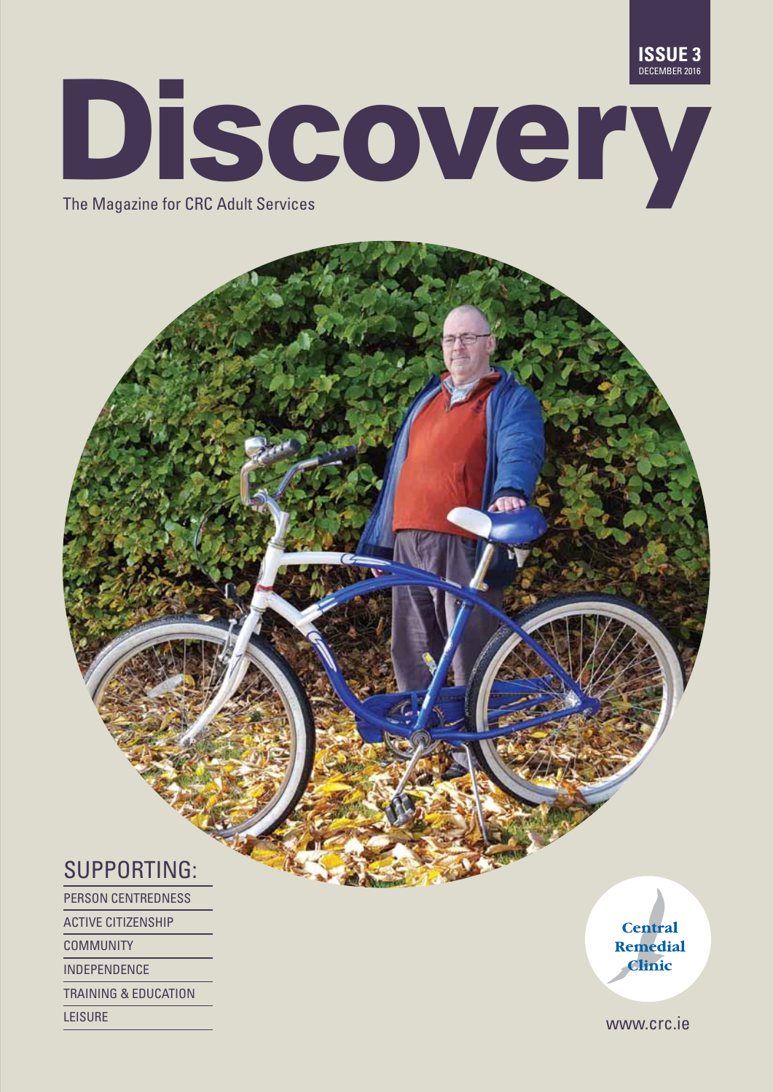

# **Discovery**

### SUPPORTING:

Person Centredness ACTIVE CITIZENSHIP

COMMUNITY

INDEPENDENCE

TRAINING & EDUCATION

**Central** Remedial **Clinic** 

LEISURE WWW.Crc.ie<br>————————————————————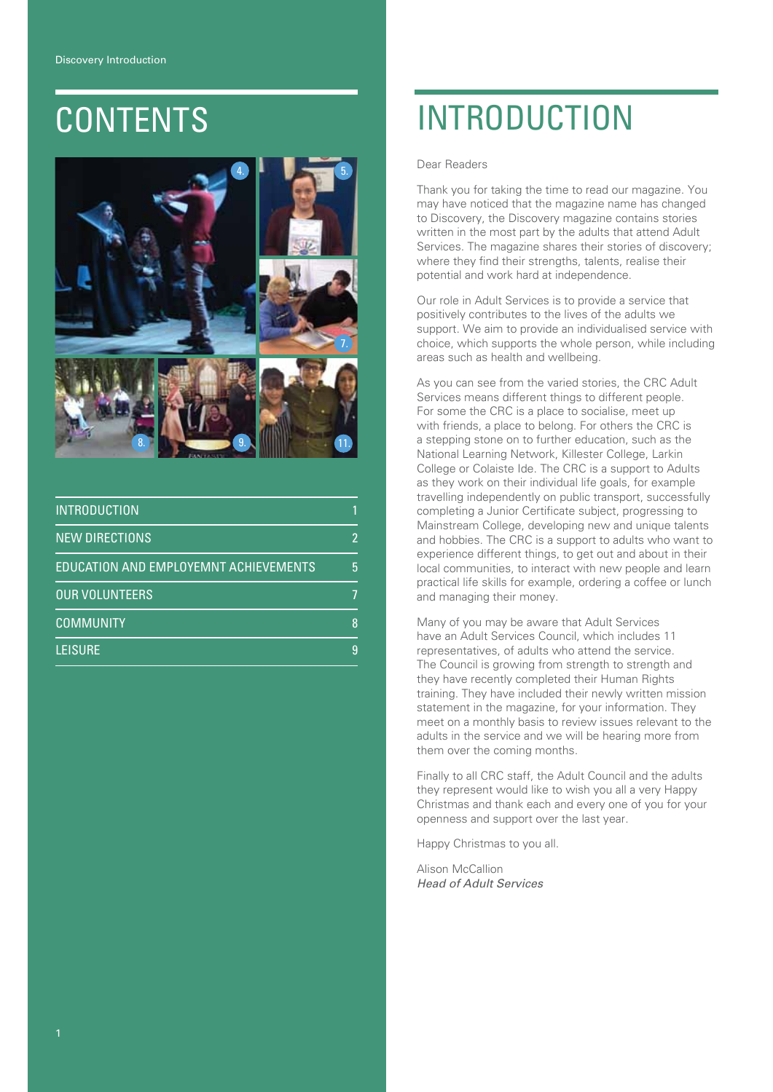

| <b>INTRODUCTION</b>                   |   |
|---------------------------------------|---|
| <b>NEW DIRECTIONS</b>                 | 2 |
| EDUCATION AND EMPLOYEMNT ACHIEVEMENTS | 5 |
| <b>OUR VOLUNTEERS</b>                 |   |
| <b>COMMUNITY</b>                      | 8 |
| <b>LEISURE</b>                        | 9 |

### contents Introduction

Dear Readers

Thank you for taking the time to read our magazine. You may have noticed that the magazine name has changed to Discovery, the Discovery magazine contains stories written in the most part by the adults that attend Adult Services. The magazine shares their stories of discovery; where they find their strengths, talents, realise their potential and work hard at independence.

Our role in Adult Services is to provide a service that positively contributes to the lives of the adults we support. We aim to provide an individualised service with choice, which supports the whole person, while including areas such as health and wellbeing.

As you can see from the varied stories, the CRC Adult Services means different things to different people. For some the CRC is a place to socialise, meet up with friends, a place to belong. For others the CRC is a stepping stone on to further education, such as the National Learning Network, Killester College, Larkin College or Colaiste Ide. The CRC is a support to Adults as they work on their individual life goals, for example travelling independently on public transport, successfully completing a Junior Certificate subject, progressing to Mainstream College, developing new and unique talents and hobbies. The CRC is a support to adults who want to experience different things, to get out and about in their local communities, to interact with new people and learn practical life skills for example, ordering a coffee or lunch and managing their money.

Many of you may be aware that Adult Services have an Adult Services Council, which includes 11 representatives, of adults who attend the service. The Council is growing from strength to strength and they have recently completed their Human Rights training. They have included their newly written mission statement in the magazine, for your information. They meet on a monthly basis to review issues relevant to the adults in the service and we will be hearing more from them over the coming months.

Finally to all CRC staff, the Adult Council and the adults they represent would like to wish you all a very Happy Christmas and thank each and every one of you for your openness and support over the last year.

Happy Christmas to you all.

Alison McCallion *Head of Adult Services*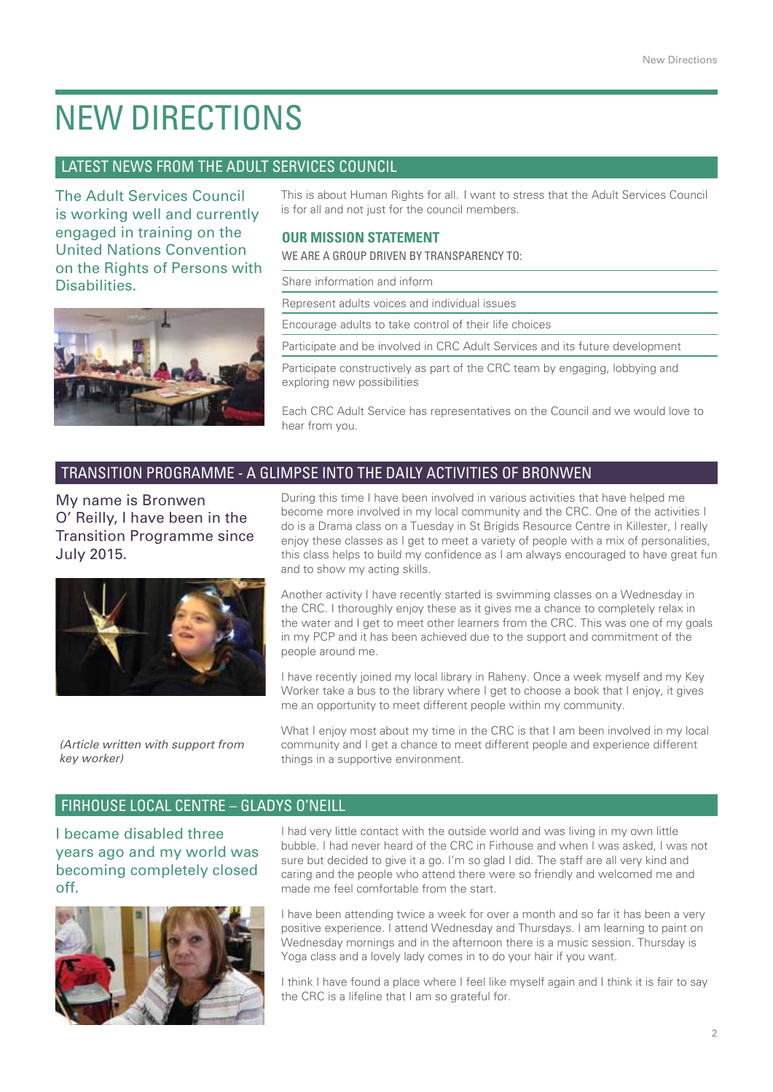### New Directions

### Latest News from the Adult Services Council

The Adult Services Council is working well and currently engaged in training on the United Nations Convention on the Rights of Persons with **Disabilities** 



This is about Human Rights for all. I want to stress that the Adult Services Council is for all and not just for the council members.

### **Our Mission Statement**

WE ARE A GROUP DRIVEN BY TRANSPARENCY TO:

Share information and inform

Represent adults voices and individual issues

Encourage adults to take control of their life choices

Participate and be involved in CRC Adult Services and its future development

Participate constructively as part of the CRC team by engaging, lobbying and exploring new possibilities

Each CRC Adult Service has representatives on the Council and we would love to hear from you.

### Transition Programme - A GLIMPSE INTO THE DAILY ACTIVITIES OF BRONWEN

My name is Bronwen O' Reilly, I have been in the Transition Programme since July 2015.



*(Article written with support from key worker)*

During this time I have been involved in various activities that have helped me become more involved in my local community and the CRC. One of the activities I do is a Drama class on a Tuesday in St Brigids Resource Centre in Killester, I really enjoy these classes as I get to meet a variety of people with a mix of personalities, this class helps to build my confidence as I am always encouraged to have great fun and to show my acting skills.

Another activity I have recently started is swimming classes on a Wednesday in the CRC. I thoroughly enjoy these as it gives me a chance to completely relax in the water and I get to meet other learners from the CRC. This was one of my goals in my PCP and it has been achieved due to the support and commitment of the people around me.

I have recently joined my local library in Raheny. Once a week myself and my Key Worker take a bus to the library where I get to choose a book that I enjoy, it gives me an opportunity to meet different people within my community.

What I enjoy most about my time in the CRC is that I am been involved in my local community and I get a chance to meet different people and experience different things in a supportive environment.

### Firhouse Local Centre – Gladys O'Neill

I became disabled three years ago and my world was becoming completely closed off.



I had very little contact with the outside world and was living in my own little bubble. I had never heard of the CRC in Firhouse and when I was asked, I was not sure but decided to give it a go. I'm so glad I did. The staff are all very kind and caring and the people who attend there were so friendly and welcomed me and made me feel comfortable from the start.

I have been attending twice a week for over a month and so far it has been a very positive experience. I attend Wednesday and Thursdays. I am learning to paint on Wednesday mornings and in the afternoon there is a music session. Thursday is Yoga class and a lovely lady comes in to do your hair if you want.

I think I have found a place where I feel like myself again and I think it is fair to say the CRC is a lifeline that I am so grateful for.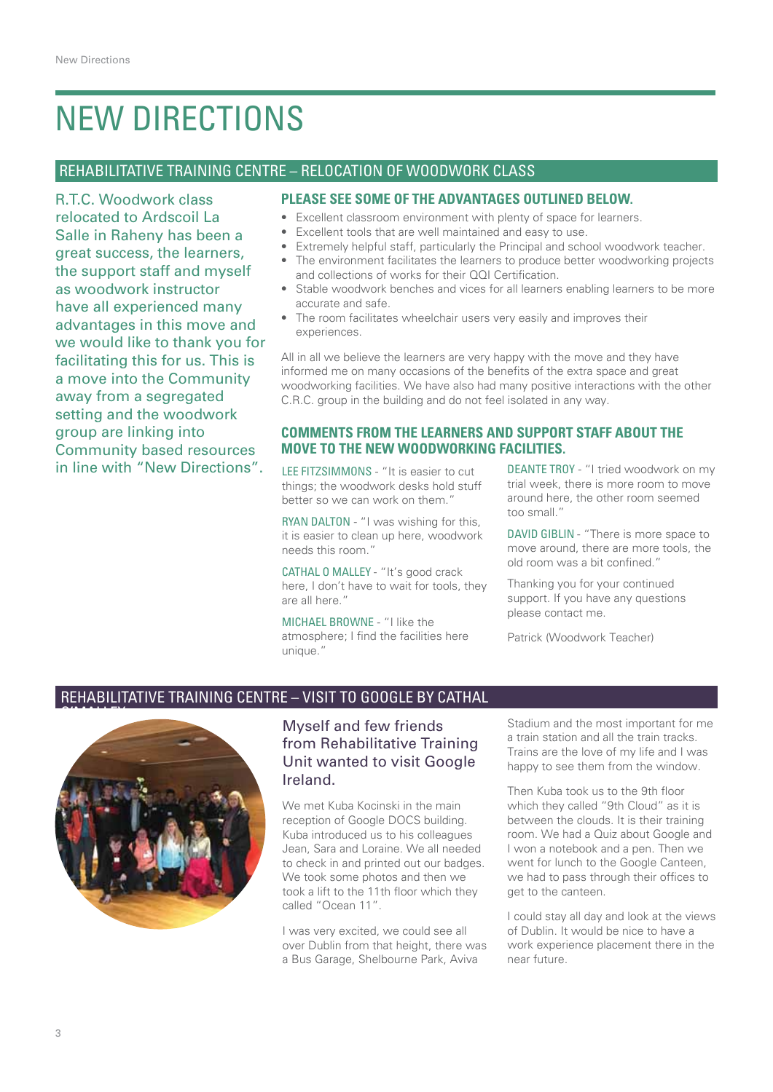### New Directions

### Rehabilitative Training Centre – Relocation of Woodwork Class

R.T.C. Woodwork class relocated to Ardscoil La Salle in Raheny has been a great success, the learners, the support staff and myself as woodwork instructor have all experienced many advantages in this move and we would like to thank you for facilitating this for us. This is a move into the Community away from a segregated setting and the woodwork group are linking into Community based resources in line with "New Directions". LEE FITZSIMMONS - "It is easier to cut

### **Please see some of the advantages outlined below.**

- Excellent classroom environment with plenty of space for learners.
- Excellent tools that are well maintained and easy to use.
- Extremely helpful staff, particularly the Principal and school woodwork teacher.
- The environment facilitates the learners to produce better woodworking projects and collections of works for their QQI Certification.
- Stable woodwork benches and vices for all learners enabling learners to be more accurate and safe.
- The room facilitates wheelchair users very easily and improves their experiences.

All in all we believe the learners are very happy with the move and they have informed me on many occasions of the benefits of the extra space and great woodworking facilities. We have also had many positive interactions with the other C.R.C. group in the building and do not feel isolated in any way.

#### **Comments from the learners and support staff about the move to the new woodworking facilities.**

things; the woodwork desks hold stuff better so we can work on them."

RYAN DALTON - "I was wishing for this, it is easier to clean up here, woodwork needs this room."

CATHAL O MALLEY - "It's good crack here, I don't have to wait for tools, they are all here."

Michael Browne - "I like the atmosphere; I find the facilities here unique."

DEANTE TROY - "I tried woodwork on my trial week, there is more room to move around here, the other room seemed too small."

DAVID GIBLIN - "There is more space to move around, there are more tools, the old room was a bit confined."

Thanking you for your continued support. If you have any questions please contact me.

Patrick (Woodwork Teacher)

### Rehabilitative Training Centre – Visit to Google by Cathal



### Myself and few friends from Rehabilitative Training Unit wanted to visit Google Ireland.

We met Kuba Kocinski in the main reception of Google DOCS building. Kuba introduced us to his colleagues Jean, Sara and Loraine. We all needed to check in and printed out our badges. We took some photos and then we took a lift to the 11th floor which they called "Ocean 11".

I was very excited, we could see all over Dublin from that height, there was a Bus Garage, Shelbourne Park, Aviva

Stadium and the most important for me a train station and all the train tracks. Trains are the love of my life and I was happy to see them from the window.

Then Kuba took us to the 9th floor which they called "9th Cloud" as it is between the clouds. It is their training room. We had a Quiz about Google and I won a notebook and a pen. Then we went for lunch to the Google Canteen. we had to pass through their offices to get to the canteen.

I could stay all day and look at the views of Dublin. It would be nice to have a work experience placement there in the near future.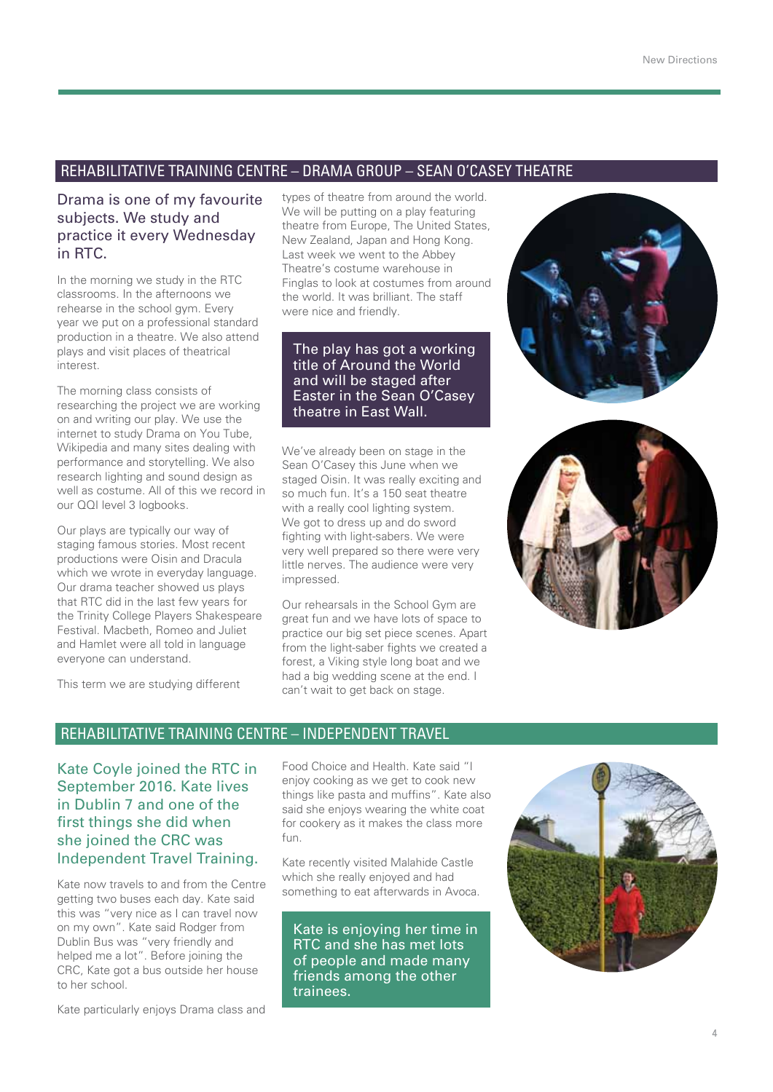### Rehabilitative Training Centre – Drama Group – Sean O'Casey Theatre

### Drama is one of my favourite subjects. We study and practice it every Wednesday in RTC.

In the morning we study in the RTC classrooms. In the afternoons we rehearse in the school gym. Every year we put on a professional standard production in a theatre. We also attend plays and visit places of theatrical interest.

The morning class consists of researching the project we are working on and writing our play. We use the internet to study Drama on You Tube, Wikipedia and many sites dealing with performance and storytelling. We also research lighting and sound design as well as costume. All of this we record in our QQI level 3 logbooks.

Our plays are typically our way of staging famous stories. Most recent productions were Oisin and Dracula which we wrote in everyday language. Our drama teacher showed us plays that RTC did in the last few years for the Trinity College Players Shakespeare Festival. Macbeth, Romeo and Juliet and Hamlet were all told in language everyone can understand.

This term we are studying different

types of theatre from around the world. We will be putting on a play featuring theatre from Europe, The United States, New Zealand, Japan and Hong Kong. Last week we went to the Abbey Theatre's costume warehouse in Finglas to look at costumes from around the world. It was brilliant. The staff were nice and friendly.

The play has got a working title of Around the World and will be staged after Easter in the Sean O'Casey theatre in East Wall.

We've already been on stage in the Sean O'Casey this June when we staged Oisin. It was really exciting and so much fun. It's a 150 seat theatre with a really cool lighting system. We got to dress up and do sword fighting with light-sabers. We were very well prepared so there were very little nerves. The audience were very impressed.

Our rehearsals in the School Gym are great fun and we have lots of space to practice our big set piece scenes. Apart from the light-saber fights we created a forest, a Viking style long boat and we had a big wedding scene at the end. I can't wait to get back on stage.





### Rehabilitative Training Centre – Independent Travel

Kate Coyle joined the RTC in September 2016. Kate lives in Dublin 7 and one of the first things she did when she joined the CRC was Independent Travel Training.

Kate now travels to and from the Centre getting two buses each day. Kate said this was "very nice as I can travel now on my own". Kate said Rodger from Dublin Bus was "very friendly and helped me a lot". Before joining the CRC, Kate got a bus outside her house to her school.

Kate particularly enjoys Drama class and

Food Choice and Health. Kate said "I enjoy cooking as we get to cook new things like pasta and muffins". Kate also said she enjoys wearing the white coat for cookery as it makes the class more fun.

Kate recently visited Malahide Castle which she really enjoyed and had something to eat afterwards in Avoca.

Kate is enjoying her time in RTC and she has met lots of people and made many friends among the other trainees.

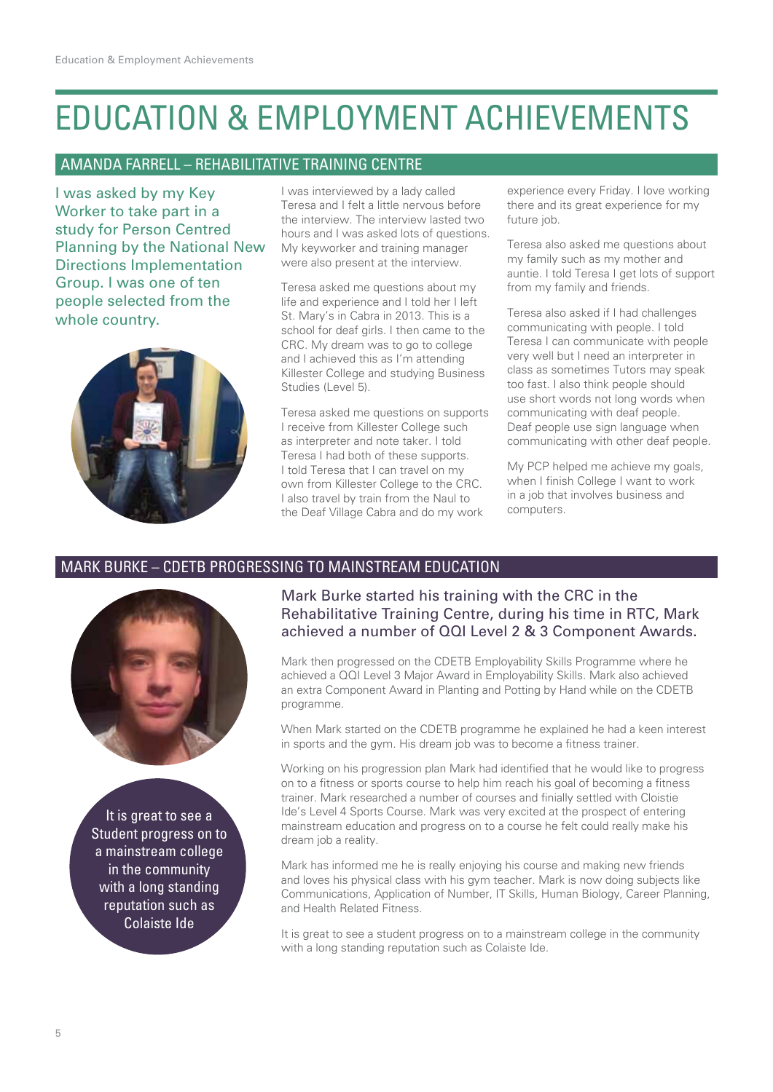### Education & Employment Achievements

### Amanda Farrell – Rehabilitative Training Centre

I was asked by my Key Worker to take part in a study for Person Centred Planning by the National New Directions Implementation Group. I was one of ten people selected from the whole country.



I was interviewed by a lady called Teresa and I felt a little nervous before the interview. The interview lasted two hours and I was asked lots of questions. My keyworker and training manager were also present at the interview.

Teresa asked me questions about my life and experience and I told her I left St. Mary's in Cabra in 2013. This is a school for deaf girls. I then came to the CRC. My dream was to go to college and I achieved this as I'm attending Killester College and studying Business Studies (Level 5).

Teresa asked me questions on supports I receive from Killester College such as interpreter and note taker. I told Teresa I had both of these supports. I told Teresa that I can travel on my own from Killester College to the CRC. I also travel by train from the Naul to the Deaf Village Cabra and do my work

experience every Friday. I love working there and its great experience for my future job.

Teresa also asked me questions about my family such as my mother and auntie. I told Teresa I get lots of support from my family and friends.

Teresa also asked if I had challenges communicating with people. I told Teresa I can communicate with people very well but I need an interpreter in class as sometimes Tutors may speak too fast. I also think people should use short words not long words when communicating with deaf people. Deaf people use sign language when communicating with other deaf people.

My PCP helped me achieve my goals, when I finish College I want to work in a job that involves business and computers.

### Mark Burke – CDETB Progressing to Mainstream Education



It is great to see a Student progress on to a mainstream college in the community with a long standing reputation such as Colaiste Ide

### Mark Burke started his training with the CRC in the Rehabilitative Training Centre, during his time in RTC, Mark achieved a number of QQI Level 2 & 3 Component Awards.

Mark then progressed on the CDETB Employability Skills Programme where he achieved a QQI Level 3 Major Award in Employability Skills. Mark also achieved an extra Component Award in Planting and Potting by Hand while on the CDETB programme.

When Mark started on the CDETB programme he explained he had a keen interest in sports and the gym. His dream job was to become a fitness trainer.

Working on his progression plan Mark had identified that he would like to progress on to a fitness or sports course to help him reach his goal of becoming a fitness trainer. Mark researched a number of courses and finially settled with Cloistie Ide's Level 4 Sports Course. Mark was very excited at the prospect of entering mainstream education and progress on to a course he felt could really make his dream job a reality.

Mark has informed me he is really enjoying his course and making new friends and loves his physical class with his gym teacher. Mark is now doing subjects like Communications, Application of Number, IT Skills, Human Biology, Career Planning, and Health Related Fitness.

It is great to see a student progress on to a mainstream college in the community with a long standing reputation such as Colaiste Ide.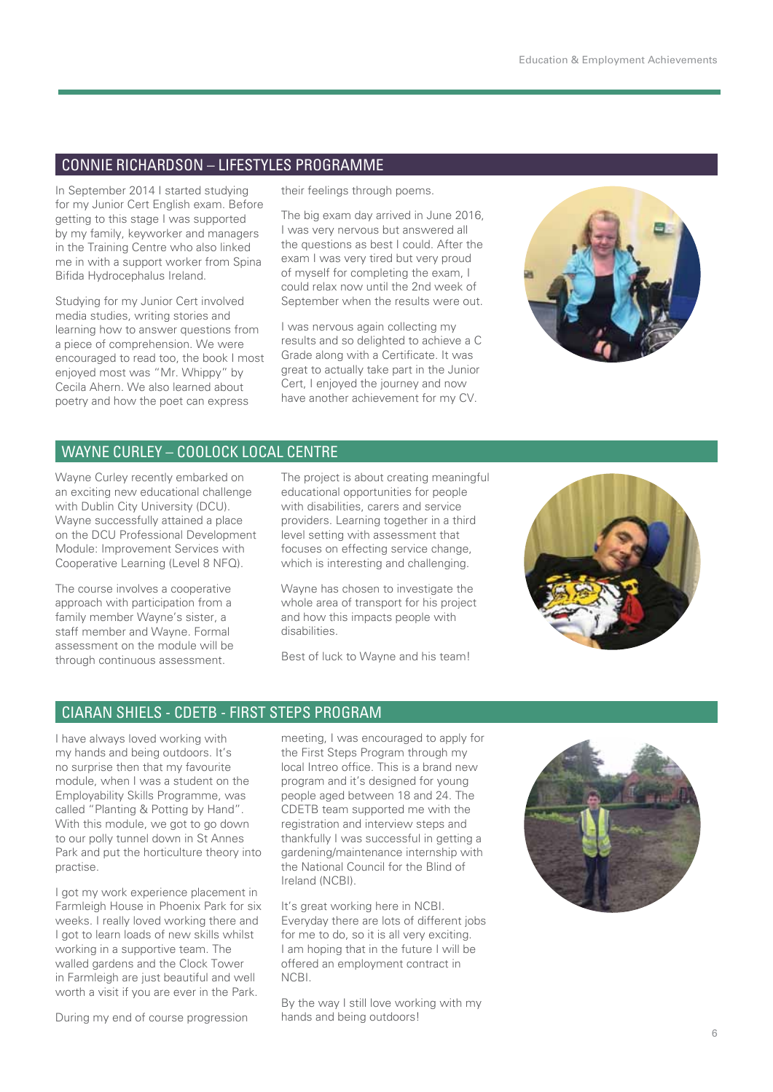### Connie Richardson – Lifestyles Programme

In September 2014 I started studying for my Junior Cert English exam. Before getting to this stage I was supported by my family, keyworker and managers in the Training Centre who also linked me in with a support worker from Spina Bifida Hydrocephalus Ireland.

Studying for my Junior Cert involved media studies, writing stories and learning how to answer questions from a piece of comprehension. We were encouraged to read too, the book I most enjoyed most was "Mr. Whippy" by Cecila Ahern. We also learned about poetry and how the poet can express

their feelings through poems.

The big exam day arrived in June 2016, I was very nervous but answered all the questions as best I could. After the exam I was very tired but very proud of myself for completing the exam, I could relax now until the 2nd week of September when the results were out.

I was nervous again collecting my results and so delighted to achieve a C Grade along with a Certificate. It was great to actually take part in the Junior Cert, I enjoyed the journey and now have another achievement for my CV.



### Wayne Curley – Coolock Local Centre

Wayne Curley recently embarked on an exciting new educational challenge with Dublin City University (DCU). Wayne successfully attained a place on the DCU Professional Development Module: Improvement Services with Cooperative Learning (Level 8 NFQ).

The course involves a cooperative approach with participation from a family member Wayne's sister, a staff member and Wayne. Formal assessment on the module will be through continuous assessment.

The project is about creating meaningful educational opportunities for people with disabilities, carers and service providers. Learning together in a third level setting with assessment that focuses on effecting service change, which is interesting and challenging.

Wayne has chosen to investigate the whole area of transport for his project and how this impacts people with disabilities.

Best of luck to Wayne and his team!



### Ciaran Shiels - CDETB - First Steps Program

I have always loved working with my hands and being outdoors. It's no surprise then that my favourite module, when I was a student on the Employability Skills Programme, was called "Planting & Potting by Hand". With this module, we got to go down to our polly tunnel down in St Annes Park and put the horticulture theory into practise.

I got my work experience placement in Farmleigh House in Phoenix Park for six weeks. I really loved working there and I got to learn loads of new skills whilst working in a supportive team. The walled gardens and the Clock Tower in Farmleigh are just beautiful and well worth a visit if you are ever in the Park.

During my end of course progression

meeting, I was encouraged to apply for the First Steps Program through my local Intreo office. This is a brand new program and it's designed for young people aged between 18 and 24. The CDETB team supported me with the registration and interview steps and thankfully I was successful in getting a gardening/maintenance internship with the National Council for the Blind of Ireland (NCBI).

It's great working here in NCBI. Everyday there are lots of different jobs for me to do, so it is all very exciting. I am hoping that in the future I will be offered an employment contract in NCBI.

By the way I still love working with my hands and being outdoors!

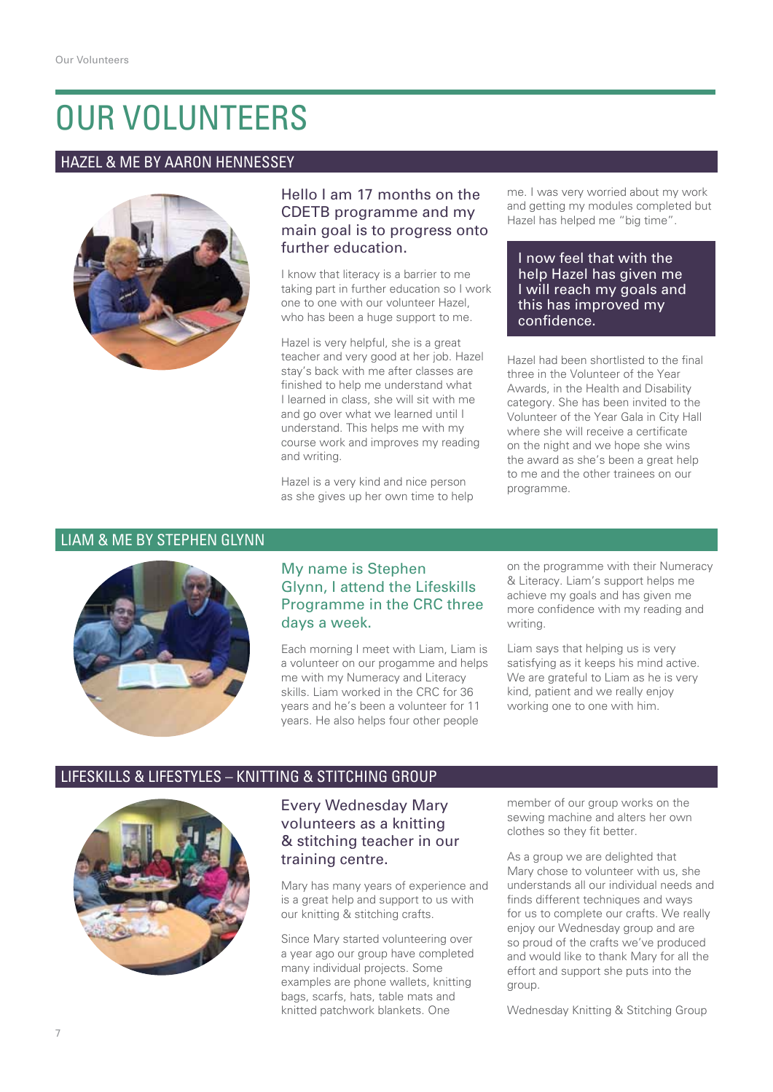### Our Volunteers

### Hazel & Me by Aaron Hennessey



### Hello I am 17 months on the CDETB programme and my main goal is to progress onto further education.

I know that literacy is a barrier to me taking part in further education so I work one to one with our volunteer Hazel, who has been a huge support to me.

Hazel is very helpful, she is a great teacher and very good at her job. Hazel stay's back with me after classes are finished to help me understand what I learned in class, she will sit with me and go over what we learned until I understand. This helps me with my course work and improves my reading and writing.

Hazel is a very kind and nice person as she gives up her own time to help me. I was very worried about my work and getting my modules completed but Hazel has helped me "big time".

#### I now feel that with the help Hazel has given me I will reach my goals and this has improved my confidence.

Hazel had been shortlisted to the final three in the Volunteer of the Year Awards, in the Health and Disability category. She has been invited to the Volunteer of the Year Gala in City Hall where she will receive a certificate on the night and we hope she wins the award as she's been a great help to me and the other trainees on our programme.

#### Liam & Me by Stephen Glynn



### My name is Stephen Glynn, I attend the Lifeskills Programme in the CRC three days a week.

Each morning I meet with Liam, Liam is a volunteer on our progamme and helps me with my Numeracy and Literacy skills. Liam worked in the CRC for 36 years and he's been a volunteer for 11 years. He also helps four other people

on the programme with their Numeracy & Literacy. Liam's support helps me achieve my goals and has given me more confidence with my reading and writing.

Liam says that helping us is very satisfying as it keeps his mind active. We are grateful to Liam as he is very kind, patient and we really enjoy working one to one with him.

### Lifeskills & Lifestyles – Knitting & Stitching Group



### Every Wednesday Mary volunteers as a knitting & stitching teacher in our training centre.

Mary has many years of experience and is a great help and support to us with our knitting & stitching crafts.

Since Mary started volunteering over a year ago our group have completed many individual projects. Some examples are phone wallets, knitting bags, scarfs, hats, table mats and knitted patchwork blankets. One

member of our group works on the sewing machine and alters her own clothes so they fit better.

As a group we are delighted that Mary chose to volunteer with us, she understands all our individual needs and finds different techniques and ways for us to complete our crafts. We really enjoy our Wednesday group and are so proud of the crafts we've produced and would like to thank Mary for all the effort and support she puts into the group.

Wednesday Knitting & Stitching Group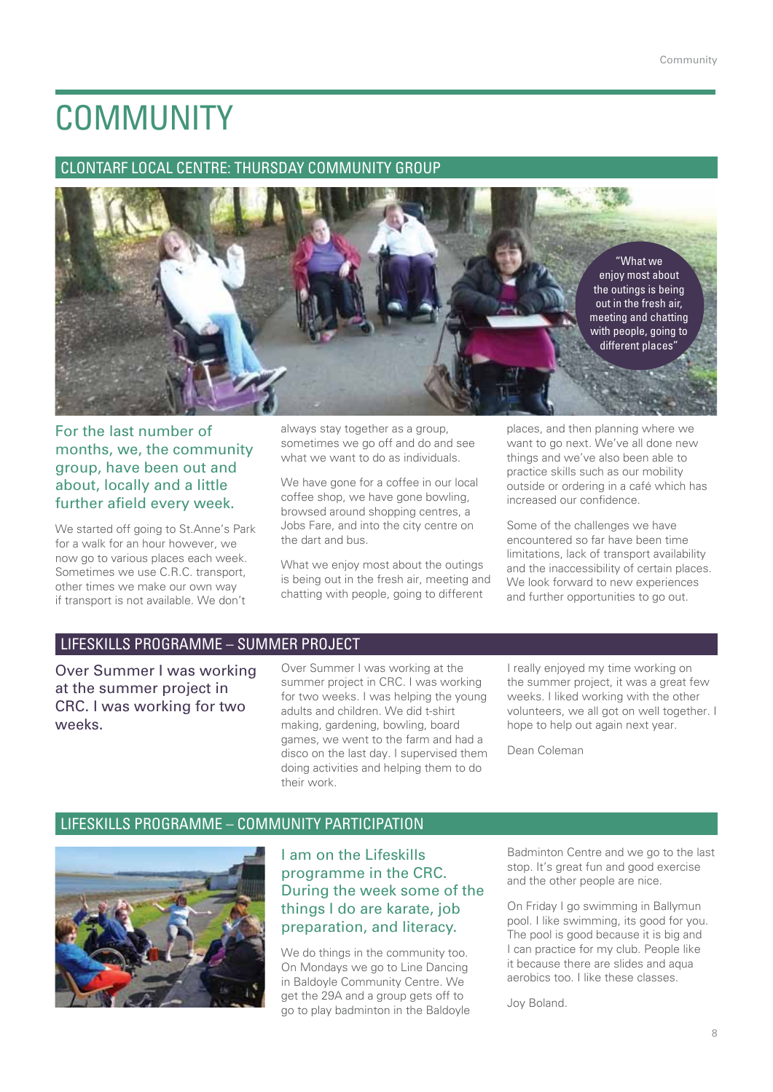### **COMMUNITY**

### Clontarf Local Centre: Thursday Community Group



For the last number of months, we, the community group, have been out and about, locally and a little further afield every week.

We started off going to St.Anne's Park for a walk for an hour however, we now go to various places each week. Sometimes we use C.R.C. transport, other times we make our own way if transport is not available. We don't

always stay together as a group, sometimes we go off and do and see what we want to do as individuals.

We have gone for a coffee in our local coffee shop, we have gone bowling, browsed around shopping centres, a Jobs Fare, and into the city centre on the dart and bus.

What we enjoy most about the outings is being out in the fresh air, meeting and chatting with people, going to different

places, and then planning where we want to go next. We've all done new things and we've also been able to practice skills such as our mobility outside or ordering in a café which has increased our confidence.

Some of the challenges we have encountered so far have been time limitations, lack of transport availability and the inaccessibility of certain places. We look forward to new experiences and further opportunities to go out.

### Lifeskills Programme – Summer Project

Over Summer I was working at the summer project in CRC. I was working for two weeks.

Over Summer I was working at the summer project in CRC. I was working for two weeks. I was helping the young adults and children. We did t-shirt making, gardening, bowling, board games, we went to the farm and had a disco on the last day. I supervised them doing activities and helping them to do their work.

I really enjoyed my time working on the summer project, it was a great few weeks. I liked working with the other volunteers, we all got on well together. I hope to help out again next year.

Dean Coleman

### Lifeskills Programme – Community Participation



I am on the Lifeskills programme in the CRC. During the week some of the things I do are karate, job preparation, and literacy.

We do things in the community too. On Mondays we go to Line Dancing in Baldoyle Community Centre. We get the 29A and a group gets off to go to play badminton in the Baldoyle Badminton Centre and we go to the last stop. It's great fun and good exercise and the other people are nice.

On Friday I go swimming in Ballymun pool. I like swimming, its good for you. The pool is good because it is big and I can practice for my club. People like it because there are slides and aqua aerobics too. I like these classes.

Joy Boland.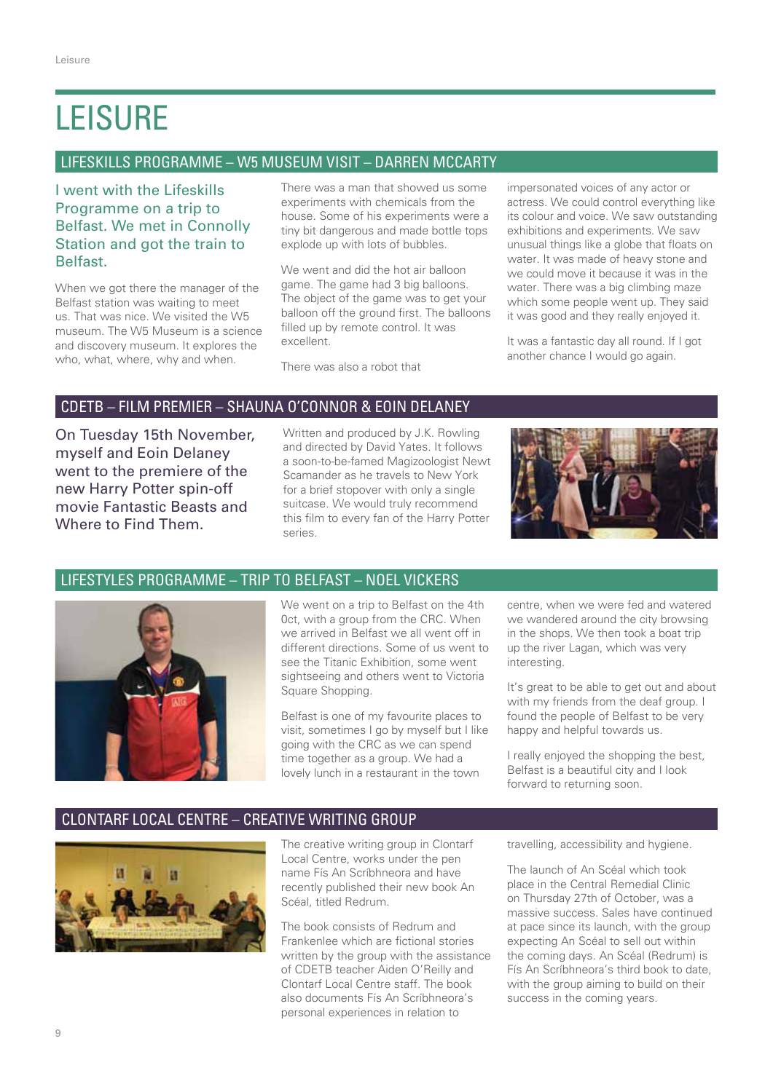### **LEISURE**

### Lifeskills Programme – W5 Museum Visit – Darren McCarty

I went with the Lifeskills Programme on a trip to Belfast. We met in Connolly Station and got the train to Belfast.

When we got there the manager of the Belfast station was waiting to meet us. That was nice. We visited the W5 museum. The W5 Museum is a science and discovery museum. It explores the who, what, where, why and when.

There was a man that showed us some experiments with chemicals from the house. Some of his experiments were a tiny bit dangerous and made bottle tops explode up with lots of bubbles.

We went and did the hot air balloon game. The game had 3 big balloons. The object of the game was to get your balloon off the ground first. The balloons filled up by remote control. It was excellent.

There was also a robot that

impersonated voices of any actor or actress. We could control everything like its colour and voice. We saw outstanding exhibitions and experiments. We saw unusual things like a globe that floats on water. It was made of heavy stone and we could move it because it was in the water. There was a big climbing maze which some people went up. They said it was good and they really enjoyed it.

It was a fantastic day all round. If I got another chance I would go again.

### CDETB – Film Premier – Shauna O'Connor & Eoin Delaney

On Tuesday 15th November, myself and Eoin Delaney went to the premiere of the new Harry Potter spin-off movie Fantastic Beasts and Where to Find Them.

Written and produced by J.K. Rowling and directed by David Yates. It follows a soon-to-be-famed Magizoologist Newt Scamander as he travels to New York for a brief stopover with only a single suitcase. We would truly recommend this film to every fan of the Harry Potter series.



### Lifestyles Programme – Trip to Belfast – Noel Vickers



We went on a trip to Belfast on the 4th 0ct, with a group from the CRC. When we arrived in Belfast we all went off in different directions. Some of us went to see the Titanic Exhibition, some went sightseeing and others went to Victoria Square Shopping.

Belfast is one of my favourite places to visit, sometimes I go by myself but I like going with the CRC as we can spend time together as a group. We had a lovely lunch in a restaurant in the town

centre, when we were fed and watered we wandered around the city browsing in the shops. We then took a boat trip up the river Lagan, which was very interesting.

It's great to be able to get out and about with my friends from the deaf group. I found the people of Belfast to be very happy and helpful towards us.

I really enjoyed the shopping the best, Belfast is a beautiful city and I look forward to returning soon.

### Clontarf Local Centre – Creative Writing Group



The creative writing group in Clontarf Local Centre, works under the pen name Fís An Scríbhneora and have recently published their new book An Scéal, titled Redrum.

The book consists of Redrum and Frankenlee which are fictional stories written by the group with the assistance of CDETB teacher Aiden O'Reilly and Clontarf Local Centre staff. The book also documents Fís An Scríbhneora's personal experiences in relation to

travelling, accessibility and hygiene.

The launch of An Scéal which took place in the Central Remedial Clinic on Thursday 27th of October, was a massive success. Sales have continued at pace since its launch, with the group expecting An Scéal to sell out within the coming days. An Scéal (Redrum) is Fís An Scríbhneora's third book to date, with the group aiming to build on their success in the coming years.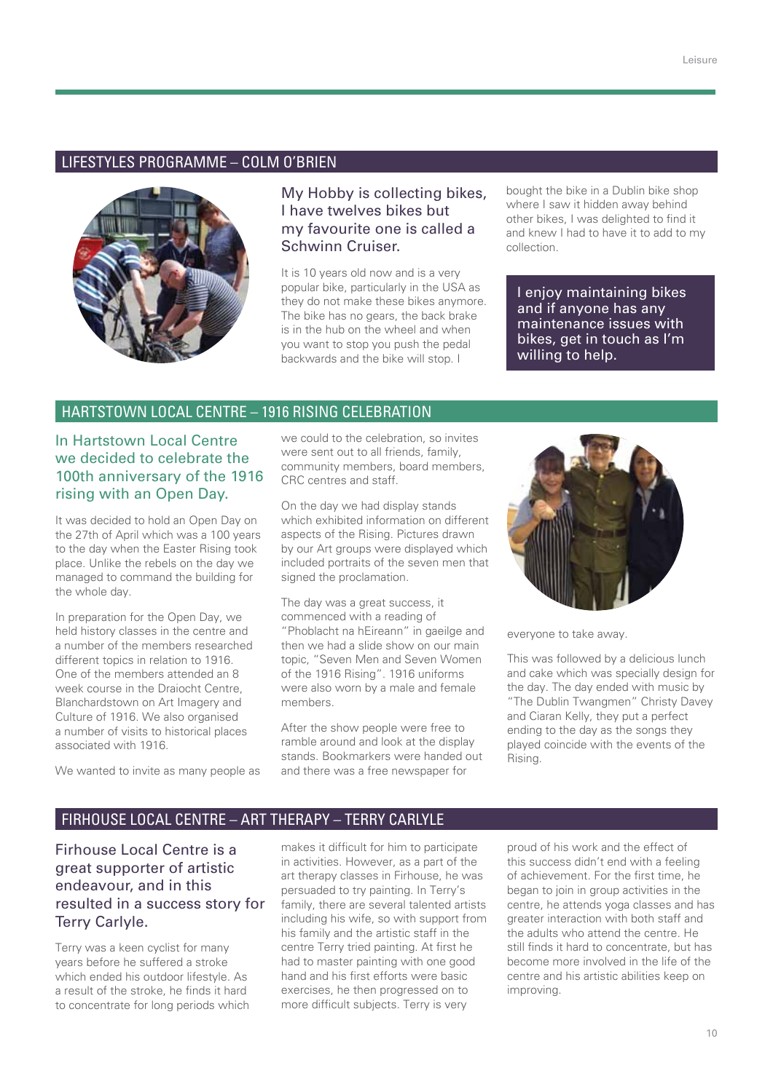### Lifestyles Programme – Colm O'Brien



### My Hobby is collecting bikes, I have twelves bikes but my favourite one is called a Schwinn Cruiser.

It is 10 years old now and is a very popular bike, particularly in the USA as they do not make these bikes anymore. The bike has no gears, the back brake is in the hub on the wheel and when you want to stop you push the pedal backwards and the bike will stop. I

bought the bike in a Dublin bike shop where I saw it hidden away behind other bikes, I was delighted to find it and knew I had to have it to add to my collection.

I enjoy maintaining bikes and if anyone has any maintenance issues with bikes, get in touch as I'm willing to help.

### Hartstown Local Centre – 1916 Rising Celebration

In Hartstown Local Centre we decided to celebrate the 100th anniversary of the 1916 rising with an Open Day.

It was decided to hold an Open Day on the 27th of April which was a 100 years to the day when the Easter Rising took place. Unlike the rebels on the day we managed to command the building for the whole day.

In preparation for the Open Day, we held history classes in the centre and a number of the members researched different topics in relation to 1916. One of the members attended an 8 week course in the Draiocht Centre, Blanchardstown on Art Imagery and Culture of 1916. We also organised a number of visits to historical places associated with 1916.

We wanted to invite as many people as

we could to the celebration, so invites were sent out to all friends, family, community members, board members, CRC centres and staff.

On the day we had display stands which exhibited information on different aspects of the Rising. Pictures drawn by our Art groups were displayed which included portraits of the seven men that signed the proclamation.

The day was a great success, it commenced with a reading of "Phoblacht na hEireann" in gaeilge and then we had a slide show on our main topic, "Seven Men and Seven Women of the 1916 Rising". 1916 uniforms were also worn by a male and female members.

After the show people were free to ramble around and look at the display stands. Bookmarkers were handed out and there was a free newspaper for



everyone to take away.

This was followed by a delicious lunch and cake which was specially design for the day. The day ended with music by "The Dublin Twangmen" Christy Davey and Ciaran Kelly, they put a perfect ending to the day as the songs they played coincide with the events of the Rising.

#### Firhouse Local Centre – Art Therapy – Terry Carlyle

Firhouse Local Centre is a great supporter of artistic endeavour, and in this resulted in a success story for Terry Carlyle.

Terry was a keen cyclist for many years before he suffered a stroke which ended his outdoor lifestyle. As a result of the stroke, he finds it hard to concentrate for long periods which makes it difficult for him to participate in activities. However, as a part of the art therapy classes in Firhouse, he was persuaded to try painting. In Terry's family, there are several talented artists including his wife, so with support from his family and the artistic staff in the centre Terry tried painting. At first he had to master painting with one good hand and his first efforts were basic exercises, he then progressed on to more difficult subjects. Terry is very

proud of his work and the effect of this success didn't end with a feeling of achievement. For the first time, he began to join in group activities in the centre, he attends yoga classes and has greater interaction with both staff and the adults who attend the centre. He still finds it hard to concentrate, but has become more involved in the life of the centre and his artistic abilities keep on improving.